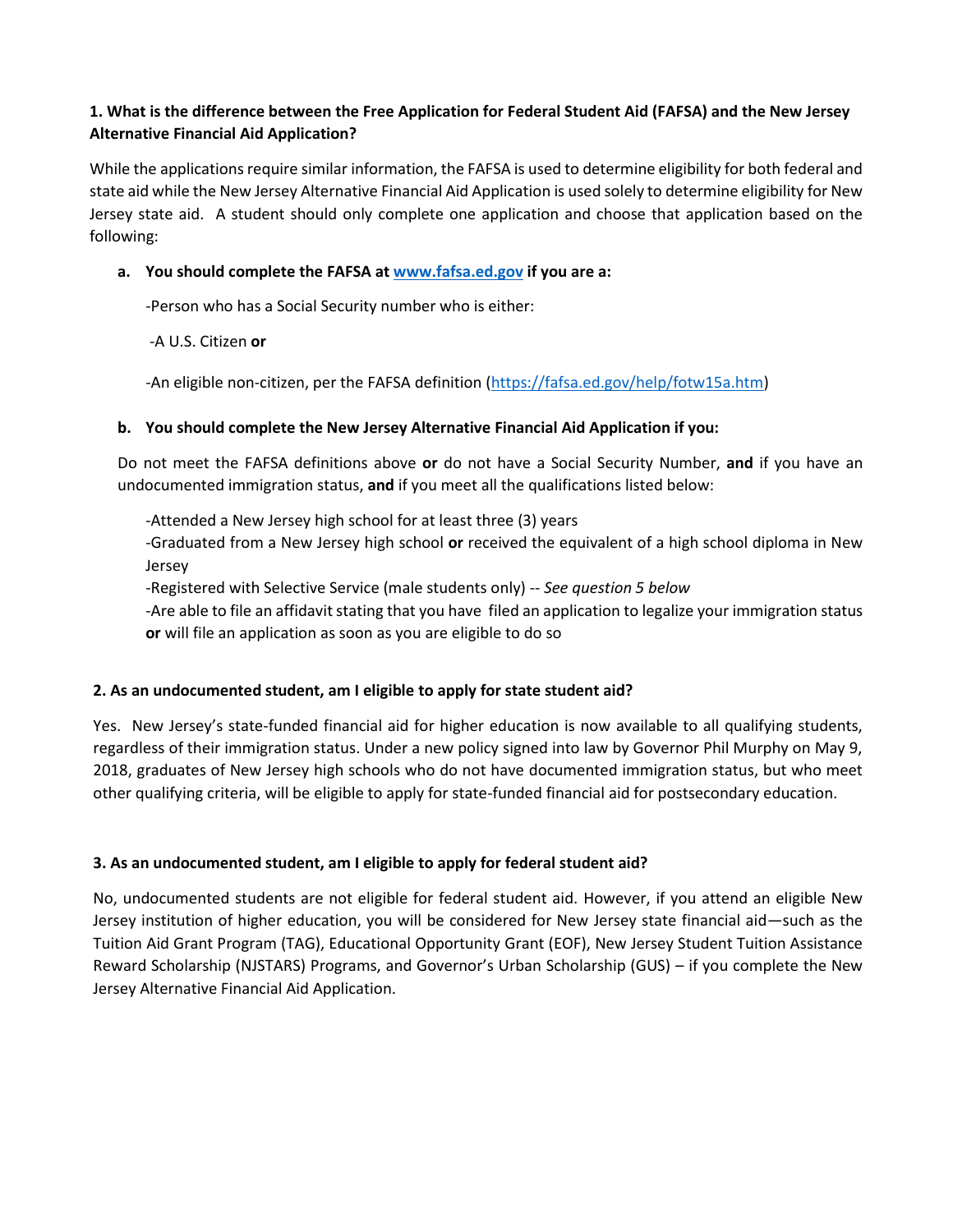# **1. What is the difference between the Free Application for Federal Student Aid (FAFSA) and the New Jersey Alternative Financial Aid Application?**

While the applications require similar information, the FAFSA is used to determine eligibility for both federal and state aid while the New Jersey Alternative Financial Aid Application is used solely to determine eligibility for New Jersey state aid. A student should only complete one application and choose that application based on the following:

## **a. You should complete the FAFSA at [www.fafsa.ed.gov](http://www.fafsa.ed.gov/) if you are a:**

-Person who has a Social Security number who is either:

-A U.S. Citizen **or**

-An eligible non-citizen, per the FAFSA definition [\(https://fafsa.ed.gov/help/fotw15a.htm\)](https://fafsa.ed.gov/help/fotw15a.htm)

## **b. You should complete the New Jersey Alternative Financial Aid Application if you:**

Do not meet the FAFSA definitions above **or** do not have a Social Security Number, **and** if you have an undocumented immigration status, **and** if you meet all the qualifications listed below:

-Attended a New Jersey high school for at least three (3) years

-Graduated from a New Jersey high school **or** received the equivalent of a high school diploma in New Jersey

-Registered with Selective Service (male students only) -- *See question 5 below*

-Are able to file an affidavit stating that you have filed an application to legalize your immigration status **or** will file an application as soon as you are eligible to do so

## **2. As an undocumented student, am I eligible to apply for state student aid?**

Yes. New Jersey's state-funded financial aid for higher education is now available to all qualifying students, regardless of their immigration status. Under a new policy signed into law by Governor Phil Murphy on May 9, 2018, graduates of New Jersey high schools who do not have documented immigration status, but who meet other qualifying criteria, will be eligible to apply for state-funded financial aid for postsecondary education.

## **3. As an undocumented student, am I eligible to apply for federal student aid?**

No, undocumented students are not eligible for federal student aid. However, if you attend an eligible New Jersey institution of higher education, you will be considered for New Jersey state financial aid—such as the Tuition Aid Grant Program (TAG), Educational Opportunity Grant (EOF), New Jersey Student Tuition Assistance Reward Scholarship (NJSTARS) Programs, and Governor's Urban Scholarship (GUS) – if you complete the New Jersey Alternative Financial Aid Application.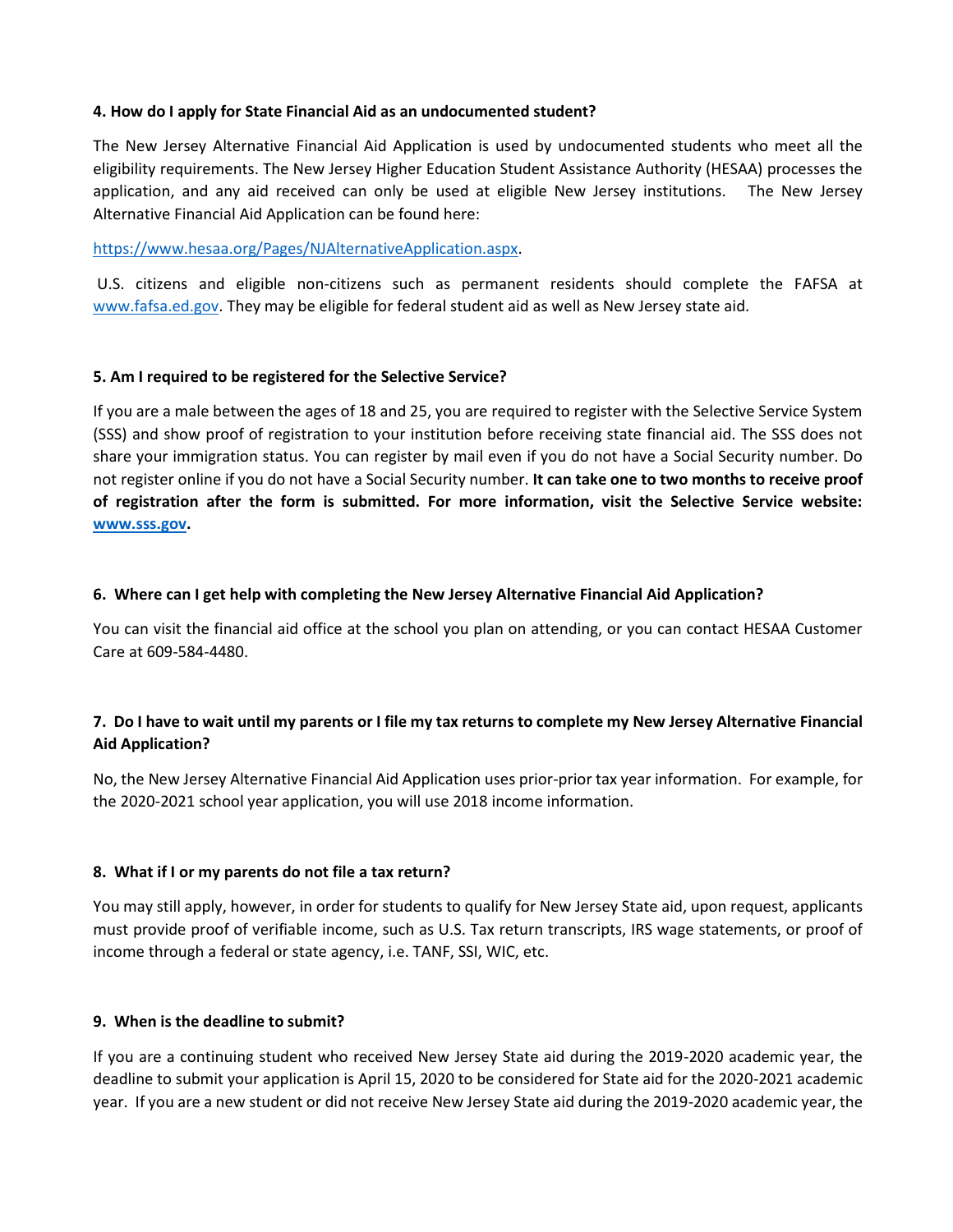#### **4. How do I apply for State Financial Aid as an undocumented student?**

The New Jersey Alternative Financial Aid Application is used by undocumented students who meet all the eligibility requirements. The New Jersey Higher Education Student Assistance Authority (HESAA) processes the application, and any aid received can only be used at eligible New Jersey institutions. The New Jersey Alternative Financial Aid Application can be found here:

#### [https://www.hesaa.org/Pages/NJAlternativeApplication.aspx.](https://www.hesaa.org/Pages/NJAlternativeApplication.aspx)

U.S. citizens and eligible non-citizens such as permanent residents should complete the FAFSA at [www.fafsa.ed.gov.](http://www.fafsa.ed.gov/) They may be eligible for federal student aid as well as New Jersey state aid.

#### **5. Am I required to be registered for the Selective Service?**

If you are a male between the ages of 18 and 25, you are required to register with the Selective Service System (SSS) and show proof of registration to your institution before receiving state financial aid. The SSS does not share your immigration status. You can register by mail even if you do not have a Social Security number. Do not register online if you do not have a Social Security number. **It can take one to two months to receive proof of registration after the form is submitted. For more information, visit the Selective Service website: [www.sss.gov.](http://www.sss.gov/)**

### **6. Where can I get help with completing the New Jersey Alternative Financial Aid Application?**

You can visit the financial aid office at the school you plan on attending, or you can contact HESAA Customer Care at 609-584-4480.

## **7. Do I have to wait until my parents or I file my tax returns to complete my New Jersey Alternative Financial Aid Application?**

No, the New Jersey Alternative Financial Aid Application uses prior-prior tax year information. For example, for the 2020-2021 school year application, you will use 2018 income information.

### **8. What if I or my parents do not file a tax return?**

You may still apply, however, in order for students to qualify for New Jersey State aid, upon request, applicants must provide proof of verifiable income, such as U.S. Tax return transcripts, IRS wage statements, or proof of income through a federal or state agency, i.e. TANF, SSI, WIC, etc.

### **9. When is the deadline to submit?**

If you are a continuing student who received New Jersey State aid during the 2019-2020 academic year, the deadline to submit your application is April 15, 2020 to be considered for State aid for the 2020-2021 academic year. If you are a new student or did not receive New Jersey State aid during the 2019-2020 academic year, the